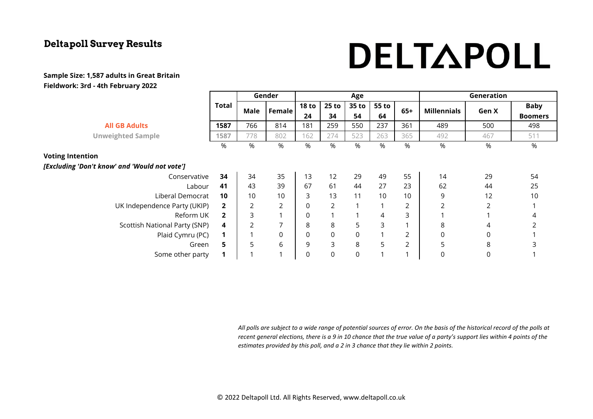# DELTAPOLL

#### **Sample Size: 1,587 adults in Great Britain Fieldwork: 3rd - 4th February 2022**

|                                               |                         | Gender |                  | Age              |                |             |       |       | Generation         |       |                |
|-----------------------------------------------|-------------------------|--------|------------------|------------------|----------------|-------------|-------|-------|--------------------|-------|----------------|
|                                               | Total                   | Male   | <b>Female</b>    | <b>18 to</b>     | $25$ to        | 35 to       | 55 to | $65+$ | <b>Millennials</b> | Gen X | <b>Baby</b>    |
|                                               |                         |        |                  | 24               | 34             | 54          | 64    |       |                    |       | <b>Boomers</b> |
| <b>All GB Adults</b>                          | 1587                    | 766    | 814              | 181              | 259            | 550         | 237   | 361   | 489                | 500   | 498            |
| <b>Unweighted Sample</b>                      | 1587                    | 778    | 802              | 162              | 274            | 523         | 263   | 365   | 492                | 467   | 511            |
|                                               | %                       | %      | %                | %                | %              | %           | %     | %     | %                  | %     | %              |
| <b>Voting Intention</b>                       |                         |        |                  |                  |                |             |       |       |                    |       |                |
| [Excluding 'Don't know' and 'Would not vote'] |                         |        |                  |                  |                |             |       |       |                    |       |                |
| Conservative                                  | 34                      | 34     | 35               | 13               | 12             | 29          | 49    | 55    | 14                 | 29    | 54             |
| Labour                                        | 41                      | 43     | 39               | 67               | 61             | 44          | 27    | 23    | 62                 | 44    | 25             |
| Liberal Democrat                              | 10                      | 10     | 10               | 3                | 13             | 11          | 10    | 10    | 9                  | 12    | 10             |
| UK Independence Party (UKIP)                  | $\overline{\mathbf{2}}$ | 2      | 2                | $\boldsymbol{0}$ | $\overline{2}$ |             |       | 2     | $\overline{2}$     | 2     |                |
| Reform UK                                     | $\overline{2}$          | 3      | 1                | $\boldsymbol{0}$ |                |             | 4     | 3     |                    |       | 4              |
| Scottish National Party (SNP)                 | 4                       | 2      | 7                | 8                | 8              | 5           | 3     |       | 8                  | 4     |                |
| Plaid Cymru (PC)                              | 1                       | 1      | $\boldsymbol{0}$ | $\boldsymbol{0}$ | $\mathsf{O}$   | $\mathsf 0$ |       | 2     | 0                  | 0     |                |
| Green                                         | 5                       | 5      | 6                | 9                | 3              | 8           | 5     | 2     | 5                  | 8     | 3              |
| Some other party                              | $\mathbf 1$             |        | $\overline{ }$   | 0                | 0              | $\mathbf 0$ |       |       | 0                  | 0     |                |

*All polls are subject to a wide range of potential sources of error. On the basis of the historical record of the polls at recent general elections, there is a 9 in 10 chance that the true value of a party's support lies within 4 points of the estimates provided by this poll, and a 2 in 3 chance that they lie within 2 points.*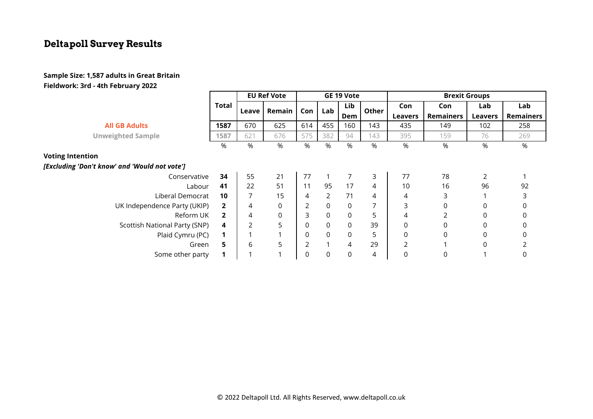#### **Sample Size: 1,587 adults in Great Britain Fieldwork: 3rd - 4th February 2022**

|                                               |                | <b>EU Ref Vote</b> |        | GE 19 Vote       |                |                | <b>Brexit Groups</b> |                |                  |                |                  |
|-----------------------------------------------|----------------|--------------------|--------|------------------|----------------|----------------|----------------------|----------------|------------------|----------------|------------------|
|                                               | Total          | Leave              | Remain | Con <sub>1</sub> | Lab            | Lib            | Other                | Con            | Con              | Lab            | Lab              |
|                                               |                |                    |        |                  |                | Dem            |                      | <b>Leavers</b> | <b>Remainers</b> | <b>Leavers</b> | <b>Remainers</b> |
| <b>All GB Adults</b>                          | 1587           | 670                | 625    | 614              | 455            | 160            | 143                  | 435            | 149              | 102            | 258              |
| <b>Unweighted Sample</b>                      | 1587           | 621                | 676    | 575              | 382            | 94             | 143                  | 395            | 159              | 76             | 269              |
|                                               | %              | $\%$               | %      | %                | %              | $\%$           | %                    | %              | %                | %              | %                |
| <b>Voting Intention</b>                       |                |                    |        |                  |                |                |                      |                |                  |                |                  |
| [Excluding 'Don't know' and 'Would not vote'] |                |                    |        |                  |                |                |                      |                |                  |                |                  |
| Conservative                                  | 34             | 55                 | 21     | 77               | $\mathbf{1}$   | 7              | 3                    | 77             | 78               | 2              |                  |
| Labour                                        | 41             | 22                 | 51     | 11               | 95             | 17             | 4                    | 10             | 16               | 96             | 92               |
| Liberal Democrat                              | 10             |                    | 15     | 4                | $\overline{2}$ | 71             | 4                    | 4              | 3                |                |                  |
| UK Independence Party (UKIP)                  | $\mathbf{2}$   | 4                  | 0      | $\overline{2}$   | $\mathsf 0$    | $\mathbf 0$    | 7                    | 3              | 0                | 0              | 0                |
| Reform UK                                     | $\overline{2}$ | 4                  | 0      | 3                | $\mathbf 0$    | 0              | 5                    | 4              | 2                | $\Omega$       | 0                |
| Scottish National Party (SNP)                 | 4              |                    | 5      | 0                | $\mathsf 0$    | $\mathbf 0$    | 39                   | 0              | 0                | 0              | 0                |
| Plaid Cymru (PC)                              |                |                    |        | $\mathbf 0$      | $\mathsf 0$    | 0              | 5                    | 0              | $\mathbf 0$      | $\Omega$       | 0                |
| Green                                         | 5.             | 6                  | 5      | 2                | $\mathbf{1}$   | $\overline{4}$ | 29                   | 2              |                  | 0              |                  |
| Some other party                              |                |                    |        | $\Omega$         | $\mathbf 0$    | 0              | 4                    |                | 0                |                | 0                |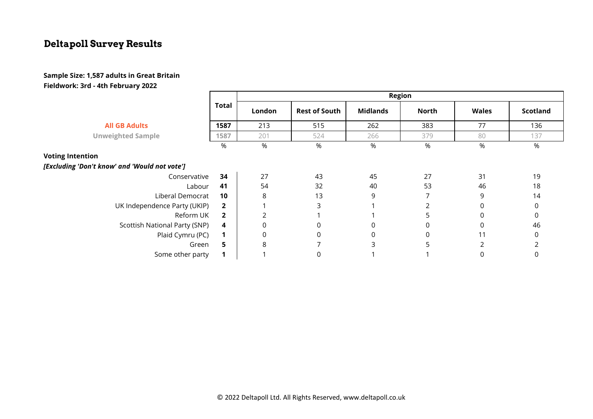#### **Sample Size: 1,587 adults in Great Britain Fieldwork: 3rd - 4th February 2022**

|                                               |                | Region           |                      |                  |              |              |                 |  |  |  |
|-----------------------------------------------|----------------|------------------|----------------------|------------------|--------------|--------------|-----------------|--|--|--|
|                                               | <b>Total</b>   | London           | <b>Rest of South</b> | <b>Midlands</b>  | <b>North</b> | <b>Wales</b> | <b>Scotland</b> |  |  |  |
| <b>All GB Adults</b>                          | 1587           | 213              | 515                  | 262              | 383          | 77           | 136             |  |  |  |
| <b>Unweighted Sample</b>                      | 1587           | 201              | 524                  | 266              | 379          | 80           | 137             |  |  |  |
|                                               | %              | %                | %                    | %                | %            | %            | %               |  |  |  |
| <b>Voting Intention</b>                       |                |                  |                      |                  |              |              |                 |  |  |  |
| [Excluding 'Don't know' and 'Would not vote'] |                |                  |                      |                  |              |              |                 |  |  |  |
| Conservative                                  | 34             | 27               | 43                   | 45               | 27           | 31           | 19              |  |  |  |
| Labour                                        | 41             | 54               | 32                   | 40               | 53           | 46           | 18              |  |  |  |
| Liberal Democrat                              | 10             | 8                | 13                   | 9                |              | 9            | 14              |  |  |  |
| UK Independence Party (UKIP)                  | $\overline{2}$ |                  | 3                    |                  |              | 0            | 0               |  |  |  |
| Reform UK                                     | $\overline{2}$ | $\overline{2}$   |                      |                  | 5            | 0            | 0               |  |  |  |
| Scottish National Party (SNP)                 | 4              | $\mathbf 0$      | 0                    | $\mathbf 0$      | 0            | 0            | 46              |  |  |  |
| Plaid Cymru (PC)                              | $\mathbf 1$    | $\boldsymbol{0}$ | 0                    | $\boldsymbol{0}$ | $\Omega$     | 11           | 0               |  |  |  |
| Green                                         | 5              | 8                |                      | ς                | 5            |              |                 |  |  |  |
| Some other party                              |                |                  | 0                    |                  |              |              |                 |  |  |  |